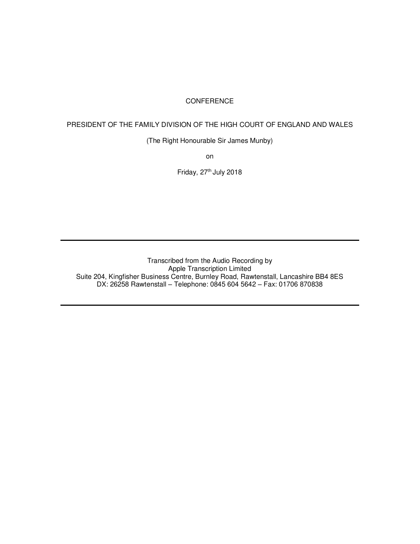## CONFERENCE

## PRESIDENT OF THE FAMILY DIVISION OF THE HIGH COURT OF ENGLAND AND WALES

(The Right Honourable Sir James Munby)

on

Friday, 27<sup>th</sup> July 2018

Transcribed from the Audio Recording by Apple Transcription Limited Suite 204, Kingfisher Business Centre, Burnley Road, Rawtenstall, Lancashire BB4 8ES DX: 26258 Rawtenstall – Telephone: 0845 604 5642 – Fax: 01706 870838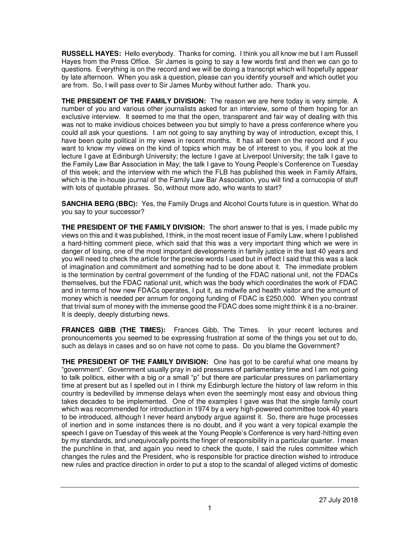**RUSSELL HAYES:** Hello everybody. Thanks for coming. I think you all know me but I am Russell Hayes from the Press Office. Sir James is going to say a few words first and then we can go to questions. Everything is on the record and we will be doing a transcript which will hopefully appear by late afternoon. When you ask a question, please can you identify yourself and which outlet you are from. So, I will pass over to Sir James Munby without further ado. Thank you.

**THE PRESIDENT OF THE FAMILY DIVISION:** The reason we are here today is very simple. A number of you and various other journalists asked for an interview, some of them hoping for an exclusive interview. It seemed to me that the open, transparent and fair way of dealing with this was not to make invidious choices between you but simply to have a press conference where you could all ask your questions. I am not going to say anything by way of introduction, except this, I have been quite political in my views in recent months. It has all been on the record and if you want to know my views on the kind of topics which may be of interest to you, if you look at the lecture I gave at Edinburgh University; the lecture I gave at Liverpool University; the talk I gave to the Family Law Bar Association in May; the talk I gave to Young People's Conference on Tuesday of this week; and the interview with me which the FLB has published this week in Family Affairs, which is the in-house journal of the Family Law Bar Association, you will find a cornucopia of stuff with lots of quotable phrases. So, without more ado, who wants to start?

**SANCHIA BERG (BBC):** Yes, the Family Drugs and Alcohol Courts future is in question. What do you say to your successor?

**THE PRESIDENT OF THE FAMILY DIVISION:** The short answer to that is yes, I made public my views on this and it was published, I think, in the most recent issue of Family Law, where I published a hard-hitting comment piece, which said that this was a very important thing which we were in danger of losing, one of the most important developments in family justice in the last 40 years and you will need to check the article for the precise words I used but in effect I said that this was a lack of imagination and commitment and something had to be done about it. The immediate problem is the termination by central government of the funding of the FDAC national unit, not the FDACs themselves, but the FDAC national unit, which was the body which coordinates the work of FDAC and in terms of how new FDACs operates, I put it, as midwife and health visitor and the amount of money which is needed per annum for ongoing funding of FDAC is £250,000. When you contrast that trivial sum of money with the immense good the FDAC does some might think it is a no-brainer. It is deeply, deeply disturbing news.

**FRANCES GIBB (THE TIMES):** Frances Gibb, The Times. In your recent lectures and pronouncements you seemed to be expressing frustration at some of the things you set out to do, such as delays in cases and so on have not come to pass. Do you blame the Government?

**THE PRESIDENT OF THE FAMILY DIVISION:** One has got to be careful what one means by "government". Government usually pray in aid pressures of parliamentary time and I am not going to talk politics, either with a big or a small "p" but there are particular pressures on parliamentary time at present but as I spelled out in I think my Edinburgh lecture the history of law reform in this country is bedevilled by immense delays when even the seemingly most easy and obvious thing takes decades to be implemented. One of the examples I gave was that the single family court which was recommended for introduction in 1974 by a very high-powered committee took 40 years to be introduced, although I never heard anybody argue against it. So, there are huge processes of inertion and in some instances there is no doubt, and if you want a very topical example the speech I gave on Tuesday of this week at the Young People's Conference is very hard-hitting even by my standards, and unequivocally points the finger of responsibility in a particular quarter. I mean the punchline in that, and again you need to check the quote, I said the rules committee which changes the rules and the President, who is responsible for practice direction wished to introduce new rules and practice direction in order to put a stop to the scandal of alleged victims of domestic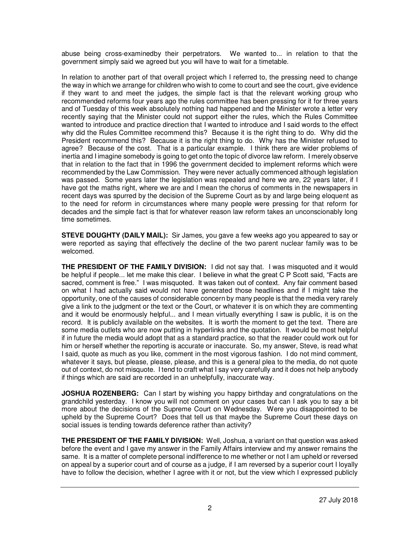abuse being cross-examinedby their perpetrators. We wanted to... in relation to that the government simply said we agreed but you will have to wait for a timetable.

In relation to another part of that overall project which I referred to, the pressing need to change the way in which we arrange for children who wish to come to court and see the court, give evidence if they want to and meet the judges, the simple fact is that the relevant working group who recommended reforms four years ago the rules committee has been pressing for it for three years and of Tuesday of this week absolutely nothing had happened and the Minister wrote a letter very recently saying that the Minister could not support either the rules, which the Rules Committee wanted to introduce and practice direction that I wanted to introduce and I said words to the effect why did the Rules Committee recommend this? Because it is the right thing to do. Why did the President recommend this? Because it is the right thing to do. Why has the Minister refused to agree? Because of the cost. That is a particular example. I think there are wider problems of inertia and I imagine somebody is going to get onto the topic of divorce law reform. I merely observe that in relation to the fact that in 1996 the government decided to implement reforms which were recommended by the Law Commission. They were never actually commenced although legislation was passed. Some years later the legislation was repealed and here we are, 22 years later, if I have got the maths right, where we are and I mean the chorus of comments in the newspapers in recent days was spurred by the decision of the Supreme Court as by and large being eloquent as to the need for reform in circumstances where many people were pressing for that reform for decades and the simple fact is that for whatever reason law reform takes an unconscionably long time sometimes.

**STEVE DOUGHTY (DAILY MAIL):** Sir James, you gave a few weeks ago you appeared to say or were reported as saying that effectively the decline of the two parent nuclear family was to be welcomed.

**THE PRESIDENT OF THE FAMILY DIVISION:** I did not say that. I was misquoted and it would be helpful if people... let me make this clear. I believe in what the great C P Scott said, "Facts are sacred, comment is free." I was misquoted. It was taken out of context. Any fair comment based on what I had actually said would not have generated those headlines and if I might take the opportunity, one of the causes of considerable concern by many people is that the media very rarely give a link to the judgment or the text or the Court, or whatever it is on which they are commenting and it would be enormously helpful... and I mean virtually everything I saw is public, it is on the record. It is publicly available on the websites. It is worth the moment to get the text. There are some media outlets who are now putting in hyperlinks and the quotation. It would be most helpful if in future the media would adopt that as a standard practice, so that the reader could work out for him or herself whether the reporting is accurate or inaccurate. So, my answer, Steve, is read what I said, quote as much as you like, comment in the most vigorous fashion. I do not mind comment, whatever it says, but please, please, please, and this is a general plea to the media, do not quote out of context, do not misquote. I tend to craft what I say very carefully and it does not help anybody if things which are said are recorded in an unhelpfully, inaccurate way.

**JOSHUA ROZENBERG:** Can I start by wishing you happy birthday and congratulations on the grandchild yesterday. I know you will not comment on your cases but can I ask you to say a bit more about the decisions of the Supreme Court on Wednesday. Were you disappointed to be upheld by the Supreme Court? Does that tell us that maybe the Supreme Court these days on social issues is tending towards deference rather than activity?

**THE PRESIDENT OF THE FAMILY DIVISION:** Well, Joshua, a variant on that question was asked before the event and I gave my answer in the Family Affairs interview and my answer remains the same. It is a matter of complete personal indifference to me whether or not I am upheld or reversed on appeal by a superior court and of course as a judge, if I am reversed by a superior court I loyally have to follow the decision, whether I agree with it or not, but the view which I expressed publicly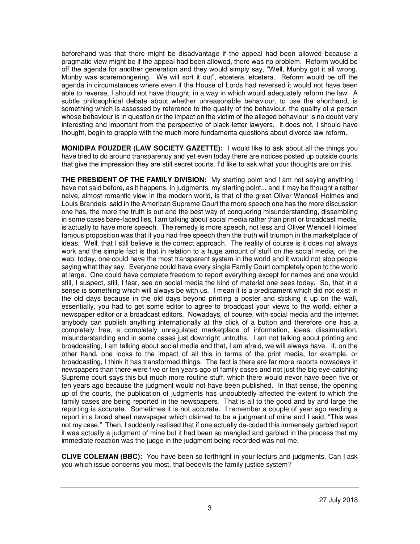beforehand was that there might be disadvantage if the appeal had been allowed because a pragmatic view might be if the appeal had been allowed, there was no problem. Reform would be off the agenda for another generation and they would simply say, "Well, Munby got it all wrong. Munby was scaremongering. We will sort it out", etcetera, etcetera. Reform would be off the agenda in circumstances where even if the House of Lords had reversed it would not have been able to reverse, I should not have thought, in a way in which would adequately reform the law. A subtle philosophical debate about whether unreasonable behaviour, to use the shorthand, is something which is assessed by reference to the quality of the behaviour, the quality of a person whose behaviour is in question or the impact on the victim of the alleged behaviour is no doubt very interesting and important from the perspective of black-letter lawyers. It does not, I should have thought, begin to grapple with the much more fundamenta questions about divorce law reform.

**MONIDIPA FOUZDER (LAW SOCIETY GAZETTE):** I would like to ask about all the things you have tried to do around transparency and yet even today there are notices posted up outside courts that give the impression they are still secret courts. I'd like to ask what your thoughts are on this.

**THE PRESIDENT OF THE FAMILY DIVISION:** My starting point and I am not saying anything I have not said before, as it happens, in judgments, my starting point... and it may be thought a rather naive, almost romantic view in the modern world, is that of the great Oliver Wendell Holmes and Louis Brandeis said in the American Supreme Court the more speech one has the more discussion one has, the more the truth is out and the best way of conquering misunderstanding, dissembling in some cases bare-faced lies, I am talking about social media rather than print or broadcast media, is actually to have more speech. The remedy is more speech, not less and Oliver Wendell Holmes' famous proposition was that if you had free speech then the truth will triumph in the marketplace of ideas. Well, that I still believe is the correct approach. The reality of course is it does not always work and the simple fact is that in relation to a huge amount of stuff on the social media, on the web, today, one could have the most transparent system in the world and it would not stop people saying what they say. Everyone could have every single Family Court completely open to the world at large. One could have complete freedom to report everything except for names and one would still, I suspect, still, I fear, see on social media the kind of material one sees today. So, that in a sense is something which will always be with us. I mean it is a predicament which did not exist in the old days because in the old days beyond printing a poster and sticking it up on the wall, essentially, you had to get some editor to agree to broadcast your views to the world, either a newspaper editor or a broadcast editors. Nowadays, of course, with social media and the internet anybody can publish anything internationally at the click of a button and therefore one has a completely free, a completely unregulated marketplace of information, ideas, dissimulation, misunderstanding and in some cases just downright untruths. I am not talking about printing and broadcasting, I am talking about social media and that, I am afraid, we will always have. If, on the other hand, one looks to the impact of all this in terms of the print media, for example, or broadcasting, I think it has transformed things. The fact is there are far more reports nowadays in newspapers than there were five or ten years ago of family cases and not just the big eye-catching Supreme court says this but much more routine stuff, which there would never have been five or ten years ago because the judgment would not have been published. In that sense, the opening up of the courts, the publication of judgments has undoubtedly affected the extent to which the family cases are being reported in the newspapers. That is all to the good and by and large the reporting is accurate. Sometimes it is not accurate. I remember a couple of year ago reading a report in a broad sheet newspaper which claimed to be a judgment of mine and I said, "This was not my case." Then, I suddenly realised that if one actually de-coded this immensely garbled report it was actually a judgment of mine but it had been so mangled and garbled in the process that my immediate reaction was the judge in the judgment being recorded was not me.

**CLIVE COLEMAN (BBC):** You have been so forthright in your lecturs and judgments. Can I ask you which issue concerns you most, that bedevils the family justice system?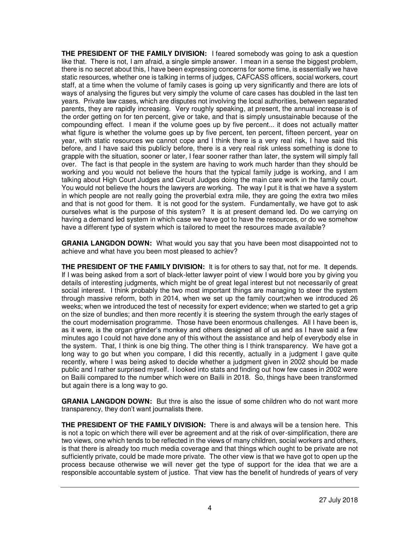**THE PRESIDENT OF THE FAMILY DIVISION:** I feared somebody was going to ask a question like that. There is not, I am afraid, a single simple answer. I mean in a sense the biggest problem, there is no secret about this, I have been expressing concerns for some time, is essentially we have static resources, whether one is talking in terms of judges, CAFCASS officers, social workers, court staff, at a time when the volume of family cases is going up very significantly and there are lots of ways of analysing the figures but very simply the volume of care cases has doubled in the last ten years. Private law cases, which are disputes not involving the local authorities, between separated parents, they are rapidly increasing. Very roughly speaking, at present, the annual increase is of the order getting on for ten percent, give or take, and that is simply unsustainable because of the compounding effect. I mean if the volume goes up by five percent... it does not actually matter what figure is whether the volume goes up by five percent, ten percent, fifteen percent, year on year, with static resources we cannot cope and I think there is a very real risk, I have said this before, and I have said this publicly before, there is a very real risk unless something is done to grapple with the situation, sooner or later, I fear sooner rather than later, the system will simply fall over. The fact is that people in the system are having to work much harder than they should be working and you would not believe the hours that the typical family judge is working, and I am talking about High Court Judges and Circuit Judges doing the main care work in the family court. You would not believe the hours the lawyers are working. The way I put it is that we have a system in which people are not really going the proverbial extra mile, they are going the extra two miles and that is not good for them. It is not good for the system. Fundamentally, we have got to ask ourselves what is the purpose of this system? It is at present demand led. Do we carrying on having a demand led system in which case we have got to have the resources, or do we somehow have a different type of system which is tailored to meet the resources made available?

**GRANIA LANGDON DOWN:** What would you say that you have been most disappointed not to achieve and what have you been most pleased to achiev?

**THE PRESIDENT OF THE FAMILY DIVISION:** It is for others to say that, not for me. It depends. If I was being asked from a sort of black-letter lawyer point of view I would bore you by giving you details of interesting judgments, which might be of great legal interest but not necessarily of great social interest. I think probably the two most important things are managing to steer the system through massive reform, both in 2014, when we set up the family court;when we introduced 26 weeks; when we introduced the test of necessity for expert evidence; when we started to get a grip on the size of bundles; and then more recently it is steering the system through the early stages of the court modernisation programme. Those have been enormous challenges. All I have been is, as it were, is the organ grinder's monkey and others designed all of us and as I have said a few minutes ago I could not have done any of this without the assistance and help of everybody else in the system. That, I think is one big thing. The other thing is I think transparency. We have got a long way to go but when you compare, I did this recently, actually in a judgment I gave quite recently, where I was being asked to decide whether a judgment given in 2002 should be made public and I rather surprised myself. I looked into stats and finding out how few cases in 2002 were on Bailii compared to the number which were on Bailii in 2018. So, things have been transformed but again there is a long way to go.

**GRANIA LANGDON DOWN:** But thre is also the issue of some children who do not want more transparency, they don't want journalists there.

**THE PRESIDENT OF THE FAMILY DIVISION:** There is and always will be a tension here. This is not a topic on which there will ever be agreement and at the risk of over-simplification, there are two views, one which tends to be reflected in the views of many children, social workers and others, is that there is already too much media coverage and that things which ought to be private are not sufficiently private, could be made more private. The other view is that we have got to open up the process because otherwise we will never get the type of support for the idea that we are a responsible accountable system of justice. That view has the benefit of hundreds of years of very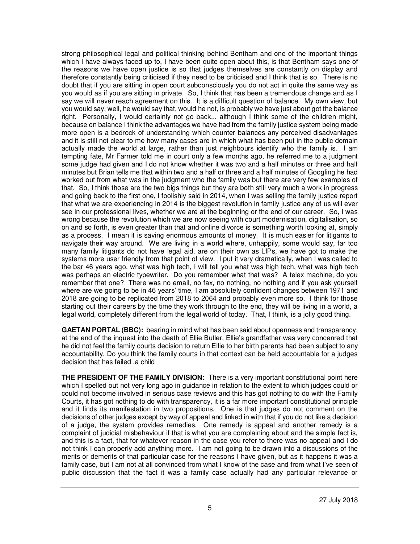strong philosophical legal and political thinking behind Bentham and one of the important things which I have always faced up to, I have been quite open about this, is that Bentham says one of the reasons we have open justice is so that judges themselves are constantly on display and therefore constantly being criticised if they need to be criticised and I think that is so. There is no doubt that if you are sitting in open court subconsciously you do not act in quite the same way as you would as if you are sitting in private. So, I think that has been a tremendous change and as I say we will never reach agreement on this. It is a difficult question of balance. My own view, but you would say, well, he would say that, would he not, is probably we have just about got the balance right. Personally, I would certainly not go back... although I think some of the children might, because on balance I think the advantages we have had from the family justice system being made more open is a bedrock of understanding which counter balances any perceived disadvantages and it is still not clear to me how many cases are in which what has been put in the public domain actually made the world at large, rather than just neighbours identify who the family is. I am tempting fate, Mr Farmer told me in court only a few months ago, he referred me to a judgment some judge had given and I do not know whether it was two and a half minutes or three and half minutes but Brian tells me that within two and a half or three and a half minutes of Googling he had worked out from what was in the judgment who the family was but there are very few examples of that. So, I think those are the two bigs things but they are both still very much a work in progress and going back to the first one, I foolishly said in 2014, when I was selling the family justice report that what we are experiencing in 2014 is the biggest revolution in family justice any of us will ever see in our professional lives, whether we are at the beginning or the end of our career. So, I was wrong because the revolution which we are now seeing with court modernisation, digitalisation, so on and so forth, is even greater than that and online divorce is something worth looking at, simply as a process. I mean it is saving enormous amounts of money. It is much easier for litigants to navigate their way around. We are living in a world where, unhappily, some would say, far too many family litigants do not have legal aid, are on their own as LIPs, we have got to make the systems more user friendly from that point of view. I put it very dramatically, when I was called to the bar 46 years ago, what was high tech, I will tell you what was high tech, what was high tech was perhaps an electric typewriter. Do you remember what that was? A telex machine, do you remember that one? There was no email, no fax, no nothing, no nothing and if you ask yourself where are we going to be in 46 years' time, I am absolutely confident changes between 1971 and 2018 are going to be replicated from 2018 to 2064 and probably even more so. I think for those starting out their careers by the time they work through to the end, they will be living in a world, a legal world, completely different from the legal world of today. That, I think, is a jolly good thing.

**GAETAN PORTAL (BBC):** bearing in mind what has been said about openness and transparency, at the end of the inquest into the death of Ellie Butler, Ellie's grandfather was very concenred that he did not feel the family courts decision to return Ellie to her birth parents had been subject to any accountability. Do you think the family courts in that context can be held accountable for a judges decision that has failed .a child

**THE PRESIDENT OF THE FAMILY DIVISION:** There is a very important constitutional point here which I spelled out not very long ago in guidance in relation to the extent to which judges could or could not become involved in serious case reviews and this has got nothing to do with the Family Courts, it has got nothing to do with transparency, it is a far more important constitutional principle and it finds its manifestation in two propositions. One is that judges do not comment on the decisions of other judges except by way of appeal and linked in with that if you do not like a decision of a judge, the system provides remedies. One remedy is appeal and another remedy is a complaint of judicial misbehaviour if that is what you are complaining about and the simple fact is, and this is a fact, that for whatever reason in the case you refer to there was no appeal and I do not think I can properly add anything more. I am not going to be drawn into a discussions of the merits or demerits of that particular case for the reasons I have given, but as it happens it was a family case, but I am not at all convinced from what I know of the case and from what I've seen of public discussion that the fact it was a family case actually had any particular relevance or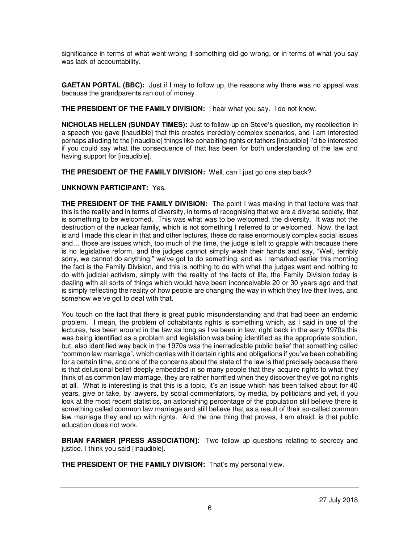significance in terms of what went wrong if something did go wrong, or in terms of what you say was lack of accountability.

**GAETAN PORTAL (BBC):** Just if I may to follow up, the reasons why there was no appeal was because the grandparents ran out of money.

**THE PRESIDENT OF THE FAMILY DIVISION:** I hear what you say. I do not know.

**NICHOLAS HELLEN (SUNDAY TIMES):** Just to follow up on Steve's question, my recollection in a speech you gave [inaudible] that this creates incredibly complex scenarios, and I am interested perhaps alluding to the [inaudible] things like cohabiting rights or fathers [inaudible] I'd be interested if you could say what the consequence of that has been for both understanding of the law and having support for [inaudible].

**THE PRESIDENT OF THE FAMILY DIVISION:** Well, can I just go one step back?

## **UNKNOWN PARTICIPANT:** Yes.

**THE PRESIDENT OF THE FAMILY DIVISION:** The point I was making in that lecture was that this is the reality and in terms of diversity, in terms of recognising that we are a diverse society, that is something to be welcomed. This was what was to be welcomed, the diversity. It was not the destruction of the nuclear family, which is not something I referred to or welcomed. Now, the fact is and I made this clear in that and other lectures, these do raise enormously complex social issues and… those are issues which, too much of the time, the judge is left to grapple with because there is no legislative reform, and the judges cannot simply wash their hands and say, "Well, terribly sorry, we cannot do anything," we've got to do something, and as I remarked earlier this morning the fact is the Family Division, and this is nothing to do with what the judges want and nothing to do with judicial activism, simply with the reality of the facts of life, the Family Division today is dealing with all sorts of things which would have been inconceivable 20 or 30 years ago and that is simply reflecting the reality of how people are changing the way in which they live their lives, and somehow we've got to deal with that.

You touch on the fact that there is great public misunderstanding and that had been an endemic problem. I mean, the problem of cohabitants rights is something which, as I said in one of the lectures, has been around in the law as long as I've been in law, right back in the early 1970s this was being identified as a problem and legislation was being identified as the appropriate solution, but, also identified way back in the 1970s was the inerradicable public belief that something called "common law marriage", which carries with it certain rights and obligations if you've been cohabiting for a certain time, and one of the concerns about the state of the law is that precisely because there is that delusional belief deeply embedded in so many people that they acquire rights to what they think of as common law marriage, they are rather horrified when they discover they've got no rights at all. What is interesting is that this is a topic, it's an issue which has been talked about for 40 years, give or take, by lawyers, by social commentators, by media, by politicians and yet, if you look at the most recent statistics, an astonishing percentage of the population still believe there is something called common law marriage and still believe that as a result of their so-called common law marriage they end up with rights. And the one thing that proves, I am afraid, is that public education does not work.

**BRIAN FARMER [PRESS ASSOCIATION]:** Two follow up questions relating to secrecy and justice. I think you said [inaudible].

**THE PRESIDENT OF THE FAMILY DIVISION:** That's my personal view.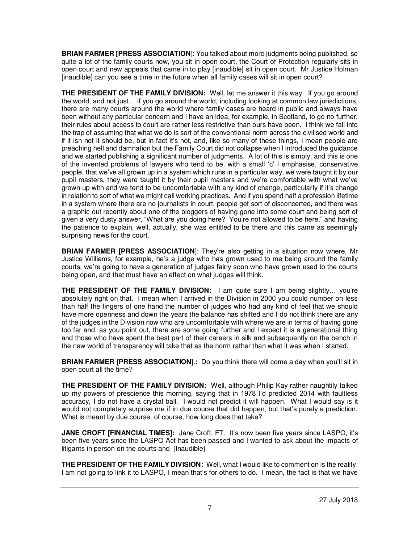**BRIAN FARMER [PRESS ASSOCIATION**]: You talked about more judgments being published, so quite a lot of the family courts now, you sit in open court, the Court of Protection regularly sits in open court and new appeals that came in to play [inaudible] sit in open court. Mr Justice Holman [inaudible] can you see a time in the future when all family cases will sit in open court?

**THE PRESIDENT OF THE FAMILY DIVISION:** Well, let me answer it this way. If you go around the world, and not just… if you go around the world, including looking at common law jurisdictions, there are many courts around the world where family cases are heard in public and always have been without any particular concern and I have an idea, for example, in Scotland, to go no further, their rules about access to court are rather less restrictive than ours have been. I think we fall into the trap of assuming that what we do is sort of the conventional norm across the civilised world and if it isn not it should be, but in fact it's not, and, like so many of these things, I mean people are preaching hell and damnation but the Family Court did not collapse when I introduced the guidance and we started publishing a significant number of judgments. A lot of this is simply, and this is one of the invented problems of lawyers who tend to be, with a small 'c' I emphasise, conservative people, that we've all grown up in a system which runs in a particular way, we were taught it by our pupil masters, they were taught it by their pupil masters and we're comfortable with what we've grown up with and we tend to be uncomfortable with any kind of change, particularly if it's change in relation to sort of what we might call working practices. And if you spend half a profession lifetime in a system where there are no journalists in court, people get sort of disconcerted, and there was a graphic out recently about one of the bloggers of having gone into some court and being sort of given a very dusty answer, "What are you doing here? You're not allowed to be here," and having the patience to explain, well, actually, she was entitled to be there and this came as seemingly surprising news for the court.

**BRIAN FARMER [PRESS ASSOCIATION**]: They're also getting in a situation now where, Mr Justice Williams, for example, he's a judge who has grown used to me being around the family courts, we're going to have a generation of judges fairly soon who have grown used to the courts being open, and that must have an effect on what judges will think.

**THE PRESIDENT OF THE FAMILY DIVISION:** I am quite sure I am being slightly… you're absolutely right on that. I mean when I arrived in the Division in 2000 you could number on less than half the fingers of one hand the number of judges who had any kind of feel that we should have more openness and down the years the balance has shifted and I do not think there are any of the judges in the Division now who are uncomfortable with where we are in terms of having gone too far and, as you point out, there are some going further and I expect it is a generational thing and those who have spent the best part of their careers in silk and subsequently on the bench in the new world of transparency will take that as the norm rather than what it was when I started.

**BRIAN FARMER [PRESS ASSOCIATION**].**:** Do you think there will come a day when you'll sit in open court all the time?

**THE PRESIDENT OF THE FAMILY DIVISION:** Well, although Philip Kay rather naughtily talked up my powers of prescience this morning, saying that in 1978 I'd predicted 2014 with faultless accuracy, I do not have a crystal ball. I would not predict it will happen. What I would say is it would not completely surprise me if in due course that did happen, but that's purely a prediction. What is meant by due course, of course, how long does that take?

**JANE CROFT [FINANCIAL TIMES]:** Jane Croft, FT. It's now been five years since LASPO, it's been five years since the LASPO Act has been passed and I wanted to ask about the impacts of litigants in person on the courts and [Inaudible}

**THE PRESIDENT OF THE FAMILY DIVISION:** Well, what I would like to comment on is the reality. I am not going to link it to LASPO, I mean that's for others to do. I mean, the fact is that we have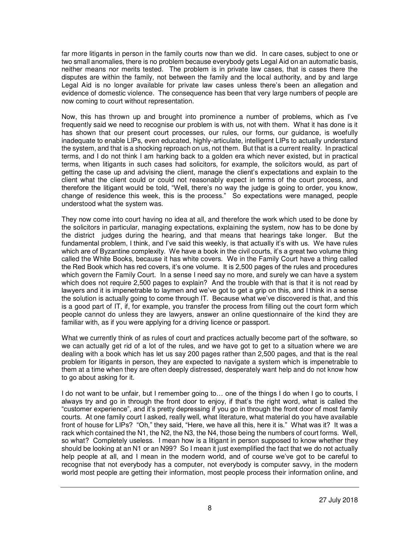far more litigants in person in the family courts now than we did. In care cases, subject to one or two small anomalies, there is no problem because everybody gets Legal Aid on an automatic basis, neither means nor merits tested. The problem is in private law cases, that is cases there the disputes are within the family, not between the family and the local authority, and by and large Legal Aid is no longer available for private law cases unless there's been an allegation and evidence of domestic violence. The consequence has been that very large numbers of people are now coming to court without representation.

Now, this has thrown up and brought into prominence a number of problems, which as I've frequently said we need to recognise our problem is with us, not with them. What it has done is it has shown that our present court processes, our rules, our forms, our guidance, is woefully inadequate to enable LIPs, even educated, highly-articulate, intelligent LIPs to actually understand the system, and that is a shocking reproach on us, not them. But that is a current reality. In practical terms, and I do not think I am harking back to a golden era which never existed, but in practical terms, when litigants in such cases had solicitors, for example, the solicitors would, as part of getting the case up and advising the client, manage the client's expectations and explain to the client what the client could or could not reasonably expect in terms of the court process, and therefore the litigant would be told, "Well, there's no way the judge is going to order, you know, change of residence this week, this is the process." So expectations were managed, people understood what the system was.

They now come into court having no idea at all, and therefore the work which used to be done by the solicitors in particular, managing expectations, explaining the system, now has to be done by the district judges during the hearing, and that means that hearings take longer. But the fundamental problem, I think, and I've said this weekly, is that actually it's with us. We have rules which are of Byzantine complexity. We have a book in the civil courts, it's a great two volume thing called the White Books, because it has white covers. We in the Family Court have a thing called the Red Book which has red covers, it's one volume. It is 2,500 pages of the rules and procedures which govern the Family Court. In a sense I need say no more, and surely we can have a system which does not require 2,500 pages to explain? And the trouble with that is that it is not read by lawyers and it is impenetrable to laymen and we've got to get a grip on this, and I think in a sense the solution is actually going to come through IT. Because what we've discovered is that, and this is a good part of IT, if, for example, you transfer the process from filling out the court form which people cannot do unless they are lawyers, answer an online questionnaire of the kind they are familiar with, as if you were applying for a driving licence or passport.

What we currently think of as rules of court and practices actually become part of the software, so we can actually get rid of a lot of the rules, and we have got to get to a situation where we are dealing with a book which has let us say 200 pages rather than 2,500 pages, and that is the real problem for litigants in person, they are expected to navigate a system which is impenetrable to them at a time when they are often deeply distressed, desperately want help and do not know how to go about asking for it.

I do not want to be unfair, but I remember going to… one of the things I do when I go to courts, I always try and go in through the front door to enjoy, if that's the right word, what is called the "customer experience", and it's pretty depressing if you go in through the front door of most family courts. At one family court I asked, really well, what literature, what material do you have available front of house for LIPs? "Oh," they said, "Here, we have all this, here it is." What was it? It was a rack which contained the N1, the N2, the N3, the N4, those being the numbers of court forms. Well, so what? Completely useless. I mean how is a litigant in person supposed to know whether they should be looking at an N1 or an N99? So I mean it just exemplified the fact that we do not actually help people at all, and I mean in the modern world, and of course we've got to be careful to recognise that not everybody has a computer, not everybody is computer savvy, in the modern world most people are getting their information, most people process their information online, and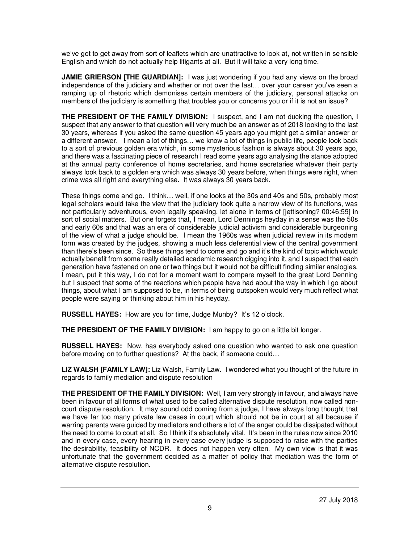we've got to get away from sort of leaflets which are unattractive to look at, not written in sensible English and which do not actually help litigants at all. But it will take a very long time.

**JAMIE GRIERSON [THE GUARDIAN]:** I was just wondering if you had any views on the broad independence of the judiciary and whether or not over the last… over your career you've seen a ramping up of rhetoric which demonises certain members of the judiciary, personal attacks on members of the judiciary is something that troubles you or concerns you or if it is not an issue?

**THE PRESIDENT OF THE FAMILY DIVISION:** I suspect, and I am not ducking the question, I suspect that any answer to that question will very much be an answer as of 2018 looking to the last 30 years, whereas if you asked the same question 45 years ago you might get a similar answer or a different answer. I mean a lot of things… we know a lot of things in public life, people look back to a sort of previous golden era which, in some mysterious fashion is always about 30 years ago, and there was a fascinating piece of research I read some years ago analysing the stance adopted at the annual party conference of home secretaries, and home secretaries whatever their party always look back to a golden era which was always 30 years before, when things were right, when crime was all right and everything else. It was always 30 years back.

These things come and go. I think… well, if one looks at the 30s and 40s and 50s, probably most legal scholars would take the view that the judiciary took quite a narrow view of its functions, was not particularly adventurous, even legally speaking, let alone in terms of [jettisoning? 00:46:59] in sort of social matters. But one forgets that, I mean, Lord Dennings heyday in a sense was the 50s and early 60s and that was an era of considerable judicial activism and considerable burgeoning of the view of what a judge should be. I mean the 1960s was when judicial review in its modern form was created by the judges, showing a much less deferential view of the central government than there's been since. So these things tend to come and go and it's the kind of topic which would actually benefit from some really detailed academic research digging into it, and I suspect that each generation have fastened on one or two things but it would not be difficult finding similar analogies. I mean, put it this way, I do not for a moment want to compare myself to the great Lord Denning but I suspect that some of the reactions which people have had about the way in which I go about things, about what I am supposed to be, in terms of being outspoken would very much reflect what people were saying or thinking about him in his heyday.

**RUSSELL HAYES:** How are you for time, Judge Munby? It's 12 o'clock.

**THE PRESIDENT OF THE FAMILY DIVISION:** I am happy to go on a little bit longer.

**RUSSELL HAYES:** Now, has everybody asked one question who wanted to ask one question before moving on to further questions? At the back, if someone could…

**LIZ WALSH [FAMILY LAW]:** Liz Walsh, Family Law. I wondered what you thought of the future in regards to family mediation and dispute resolution

**THE PRESIDENT OF THE FAMILY DIVISION:** Well, I am very strongly in favour, and always have been in favour of all forms of what used to be called alternative dispute resolution, now called noncourt dispute resolution. It may sound odd coming from a judge, I have always long thought that we have far too many private law cases in court which should not be in court at all because if warring parents were guided by mediators and others a lot of the anger could be dissipated without the need to come to court at all. So I think it's absolutely vital. It's been in the rules now since 2010 and in every case, every hearing in every case every judge is supposed to raise with the parties the desirability, feasibility of NCDR. It does not happen very often. My own view is that it was unfortunate that the government decided as a matter of policy that mediation was the form of alternative dispute resolution.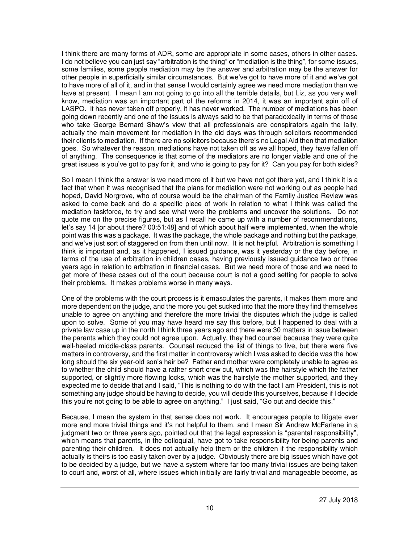I think there are many forms of ADR, some are appropriate in some cases, others in other cases. I do not believe you can just say "arbitration is the thing" or "mediation is the thing", for some issues, some families, some people mediation may be the answer and arbitration may be the answer for other people in superficially similar circumstances. But we've got to have more of it and we've got to have more of all of it, and in that sense I would certainly agree we need more mediation than we have at present. I mean I am not going to go into all the terrible details, but Liz, as you very well know, mediation was an important part of the reforms in 2014, it was an important spin off of LASPO. It has never taken off properly, it has never worked. The number of mediations has been going down recently and one of the issues is always said to be that paradoxically in terms of those who take George Bernard Shaw's view that all professionals are conspirators again the laity, actually the main movement for mediation in the old days was through solicitors recommended their clients to mediation. If there are no solicitors because there's no Legal Aid then that mediation goes. So whatever the reason, mediations have not taken off as we all hoped, they have fallen off of anything. The consequence is that some of the mediators are no longer viable and one of the great issues is you've got to pay for it, and who is going to pay for it? Can you pay for both sides?

So I mean I think the answer is we need more of it but we have not got there yet, and I think it is a fact that when it was recognised that the plans for mediation were not working out as people had hoped, David Norgrove, who of course would be the chairman of the Family Justice Review was asked to come back and do a specific piece of work in relation to what I think was called the mediation taskforce, to try and see what were the problems and uncover the solutions. Do not quote me on the precise figures, but as I recall he came up with a number of recommendations, let's say 14 [or about there? 00:51:48] and of which about half were implemented, when the whole point was this was a package. It was the package, the whole package and nothing but the package, and we've just sort of staggered on from then until now. It is not helpful. Arbitration is something I think is important and, as it happened, I issued guidance, was it yesterday or the day before, in terms of the use of arbitration in children cases, having previously issued guidance two or three years ago in relation to arbitration in financial cases. But we need more of those and we need to get more of these cases out of the court because court is not a good setting for people to solve their problems. It makes problems worse in many ways.

One of the problems with the court process is it emasculates the parents, it makes them more and more dependent on the judge, and the more you get sucked into that the more they find themselves unable to agree on anything and therefore the more trivial the disputes which the judge is called upon to solve. Some of you may have heard me say this before, but I happened to deal with a private law case up in the north I think three years ago and there were 30 matters in issue between the parents which they could not agree upon. Actually, they had counsel because they were quite well-heeled middle-class parents. Counsel reduced the list of things to five, but there were five matters in controversy, and the first matter in controversy which I was asked to decide was the how long should the six year-old son's hair be? Father and mother were completely unable to agree as to whether the child should have a rather short crew cut, which was the hairstyle which the father supported, or slightly more flowing locks, which was the hairstyle the mother supported, and they expected me to decide that and I said, "This is nothing to do with the fact I am President, this is not something any judge should be having to decide, you will decide this yourselves, because if I decide this you're not going to be able to agree on anything." I just said, "Go out and decide this."

Because, I mean the system in that sense does not work. It encourages people to litigate ever more and more trivial things and it's not helpful to them, and I mean Sir Andrew McFarlane in a judgment two or three years ago, pointed out that the legal expression is "parental responsibility", which means that parents, in the colloquial, have got to take responsibility for being parents and parenting their children. It does not actually help them or the children if the responsibility which actually is theirs is too easily taken over by a judge. Obviously there are big issues which have got to be decided by a judge, but we have a system where far too many trivial issues are being taken to court and, worst of all, where issues which initially are fairly trivial and manageable become, as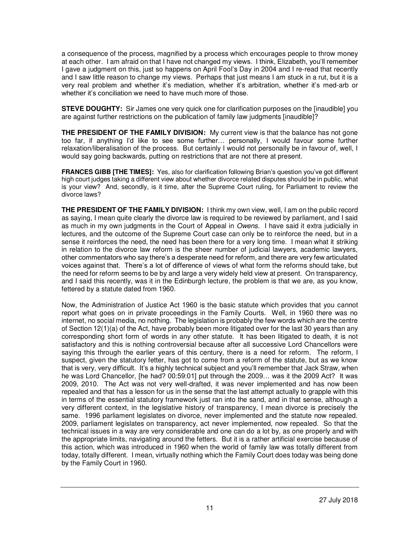a consequence of the process, magnified by a process which encourages people to throw money at each other. I am afraid on that I have not changed my views. I think, Elizabeth, you'll remember I gave a judgment on this, just so happens on April Fool's Day in 2004 and I re-read that recently and I saw little reason to change my views. Perhaps that just means I am stuck in a rut, but it is a very real problem and whether it's mediation, whether it's arbitration, whether it's med-arb or whether it's conciliation we need to have much more of those.

**STEVE DOUGHTY:** Sir James one very quick one for clarification purposes on the [inaudible] you are against further restrictions on the publication of family law judgments [inaudible]?

**THE PRESIDENT OF THE FAMILY DIVISION:** My current view is that the balance has not gone too far, if anything I'd like to see some further… personally, I would favour some further relaxation/liberalisation of the process. But certainly I would not personally be in favour of, well, I would say going backwards, putting on restrictions that are not there at present.

**FRANCES GIBB [THE TIMES]:** Yes, also for clarification following Brian's question you've got different high court judges taking a different view about whether divorce related disputes should be in public, what is your view? And, secondly, is it time, after the Supreme Court ruling, for Parliament to review the divorce laws?

**THE PRESIDENT OF THE FAMILY DIVISION:** I think my own view, well, I am on the public record as saying, I mean quite clearly the divorce law is required to be reviewed by parliament, and I said as much in my own judgments in the Court of Appeal in Owens. I have said it extra judicially in lectures, and the outcome of the Supreme Court case can only be to reinforce the need, but in a sense it reinforces the need, the need has been there for a very long time. I mean what it striking in relation to the divorce law reform is the sheer number of judicial lawyers, academic lawyers, other commentators who say there's a desperate need for reform, and there are very few articulated voices against that. There's a lot of difference of views of what form the reforms should take, but the need for reform seems to be by and large a very widely held view at present. On transparency, and I said this recently, was it in the Edinburgh lecture, the problem is that we are, as you know, fettered by a statute dated from 1960.

Now, the Administration of Justice Act 1960 is the basic statute which provides that you cannot report what goes on in private proceedings in the Family Courts. Well, in 1960 there was no internet, no social media, no nothing. The legislation is probably the few words which are the centre of Section 12(1)(a) of the Act, have probably been more litigated over for the last 30 years than any corresponding short form of words in any other statute. It has been litigated to death, it is not satisfactory and this is nothing controversial because after all successive Lord Chancellors were saying this through the earlier years of this century, there is a need for reform. The reform, I suspect, given the statutory fetter, has got to come from a reform of the statute, but as we know that is very, very difficult. It's a highly technical subject and you'll remember that Jack Straw, when he was Lord Chancellor, [he had? 00:59:01] put through the 2009… was it the 2009 Act? It was 2009, 2010. The Act was not very well-drafted, it was never implemented and has now been repealed and that has a lesson for us in the sense that the last attempt actually to grapple with this in terms of the essential statutory framework just ran into the sand, and in that sense, although a very different context, in the legislative history of transparency, I mean divorce is precisely the same. 1996 parliament legislates on divorce, never implemented and the statute now repealed. 2009, parliament legislates on transparency, act never implemented, now repealed. So that the technical issues in a way are very considerable and one can do a lot by, as one properly and with the appropriate limits, navigating around the fetters. But it is a rather artificial exercise because of this action, which was introduced in 1960 when the world of family law was totally different from today, totally different. I mean, virtually nothing which the Family Court does today was being done by the Family Court in 1960.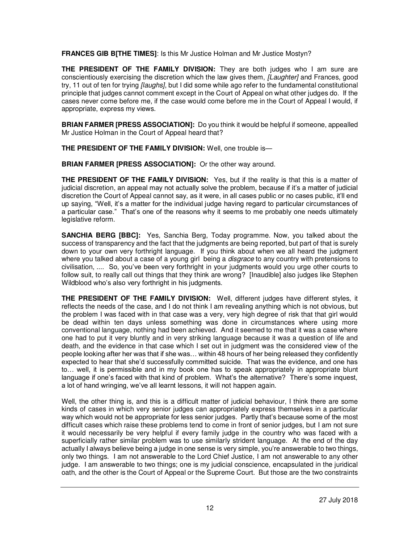**FRANCES GIB B[THE TIMES]**: Is this Mr Justice Holman and Mr Justice Mostyn?

**THE PRESIDENT OF THE FAMILY DIVISION:** They are both judges who I am sure are conscientiously exercising the discretion which the law gives them, [Laughter] and Frances, good try, 11 out of ten for trying *[laughs]*, but I did some while ago refer to the fundamental constitutional principle that judges cannot comment except in the Court of Appeal on what other judges do. If the cases never come before me, if the case would come before me in the Court of Appeal I would, if appropriate, express my views.

**BRIAN FARMER [PRESS ASSOCIATION]:** Do you think it would be helpful if someone, appealled Mr Justice Holman in the Court of Appeal heard that?

**THE PRESIDENT OF THE FAMILY DIVISION:** Well, one trouble is—

**BRIAN FARMER [PRESS ASSOCIATION]:** Or the other way around.

**THE PRESIDENT OF THE FAMILY DIVISION:** Yes, but if the reality is that this is a matter of judicial discretion, an appeal may not actually solve the problem, because if it's a matter of judicial discretion the Court of Appeal cannot say, as it were, in all cases public or no cases public, it'll end up saying, "Well, it's a matter for the individual judge having regard to particular circumstances of a particular case." That's one of the reasons why it seems to me probably one needs ultimately legislative reform.

**SANCHIA BERG [BBC]:** Yes, Sanchia Berg, Today programme. Now, you talked about the success of transparency and the fact that the judgments are being reported, but part of that is surely down to your own very forthright language. If you think about when we all heard the judgment where you talked about a case of a young girl being a *disgrace* to any country with pretensions to civilisation, .... So, you've been very forthright in your judgments would you urge other courts to follow suit, to really call out things that they think are wrong? [Inaudible] also judges like Stephen Wildblood who's also very forthright in his judgments.

**THE PRESIDENT OF THE FAMILY DIVISION:** Well, different judges have different styles, it reflects the needs of the case, and I do not think I am revealing anything which is not obvious, but the problem I was faced with in that case was a very, very high degree of risk that that girl would be dead within ten days unless something was done in circumstances where using more conventional language, nothing had been achieved. And it seemed to me that it was a case where one had to put it very bluntly and in very striking language because it was a question of life and death, and the evidence in that case which I set out in judgment was the considered view of the people looking after her was that if she was… within 48 hours of her being released they confidently expected to hear that she'd successfully committed suicide. That was the evidence, and one has to… well, it is permissible and in my book one has to speak appropriately in appropriate blunt language if one's faced with that kind of problem. What's the alternative? There's some inquest, a lot of hand wringing, we've all learnt lessons, it will not happen again.

Well, the other thing is, and this is a difficult matter of judicial behaviour, I think there are some kinds of cases in which very senior judges can appropriately express themselves in a particular way which would not be appropriate for less senior judges. Partly that's because some of the most difficult cases which raise these problems tend to come in front of senior judges, but I am not sure it would necessarily be very helpful if every family judge in the country who was faced with a superficially rather similar problem was to use similarly strident language. At the end of the day actually I always believe being a judge in one sense is very simple, you're answerable to two things, only two things. I am not answerable to the Lord Chief Justice, I am not answerable to any other judge. I am answerable to two things; one is my judicial conscience, encapsulated in the juridical oath, and the other is the Court of Appeal or the Supreme Court. But those are the two constraints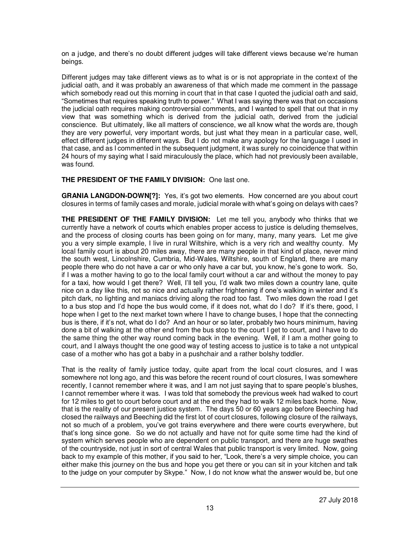on a judge, and there's no doubt different judges will take different views because we're human beings.

Different judges may take different views as to what is or is not appropriate in the context of the judicial oath, and it was probably an awareness of that which made me comment in the passage which somebody read out this morning in court that in that case I quoted the judicial oath and said, "Sometimes that requires speaking truth to power." What I was saying there was that on occasions the judicial oath requires making controversial comments, and I wanted to spell that out that in my view that was something which is derived from the judicial oath, derived from the judicial conscience. But ultimately, like all matters of conscience, we all know what the words are, though they are very powerful, very important words, but just what they mean in a particular case, well, effect different judges in different ways. But I do not make any apology for the language I used in that case, and as I commented in the subsequent judgment, it was surely no coincidence that within 24 hours of my saying what I said miraculously the place, which had not previously been available, was found.

## **THE PRESIDENT OF THE FAMILY DIVISION:** One last one.

**GRANIA LANGDON-DOWN[?]:** Yes, it's got two elements. How concerned are you about court closures in terms of family cases and morale, judicial morale with what's going on delays with caes?

**THE PRESIDENT OF THE FAMILY DIVISION:** Let me tell you, anybody who thinks that we currently have a network of courts which enables proper access to justice is deluding themselves, and the process of closing courts has been going on for many, many, many years. Let me give you a very simple example, I live in rural Wiltshire, which is a very rich and wealthy county. My local family court is about 20 miles away, there are many people in that kind of place, never mind the south west, Lincolnshire, Cumbria, Mid-Wales, Wiltshire, south of England, there are many people there who do not have a car or who only have a car but, you know, he's gone to work. So, if I was a mother having to go to the local family court without a car and without the money to pay for a taxi, how would I get there? Well, I'll tell you, I'd walk two miles down a country lane, quite nice on a day like this, not so nice and actually rather frightening if one's walking in winter and it's pitch dark, no lighting and maniacs driving along the road too fast. Two miles down the road I get to a bus stop and I'd hope the bus would come, if it does not, what do I do? If it's there, good, I hope when I get to the next market town where I have to change buses, I hope that the connecting bus is there, if it's not, what do I do? And an hour or so later, probably two hours minimum, having done a bit of walking at the other end from the bus stop to the court I get to court, and I have to do the same thing the other way round coming back in the evening. Well, if I am a mother going to court, and I always thought the one good way of testing access to justice is to take a not untypical case of a mother who has got a baby in a pushchair and a rather bolshy toddler.

That is the reality of family justice today, quite apart from the local court closures, and I was somewhere not long ago, and this was before the recent round of court closures, I was somewhere recently, I cannot remember where it was, and I am not just saying that to spare people's blushes, I cannot remember where it was. I was told that somebody the previous week had walked to court for 12 miles to get to court before court and at the end they had to walk 12 miles back home. Now, that is the reality of our present justice system. The days 50 or 60 years ago before Beeching had closed the railways and Beeching did the first lot of court closures, following closure of the railways, not so much of a problem, you've got trains everywhere and there were courts everywhere, but that's long since gone. So we do not actually and have not for quite some time had the kind of system which serves people who are dependent on public transport, and there are huge swathes of the countryside, not just in sort of central Wales that public transport is very limited. Now, going back to my example of this mother, if you said to her, "Look, there's a very simple choice, you can either make this journey on the bus and hope you get there or you can sit in your kitchen and talk to the judge on your computer by Skype." Now, I do not know what the answer would be, but one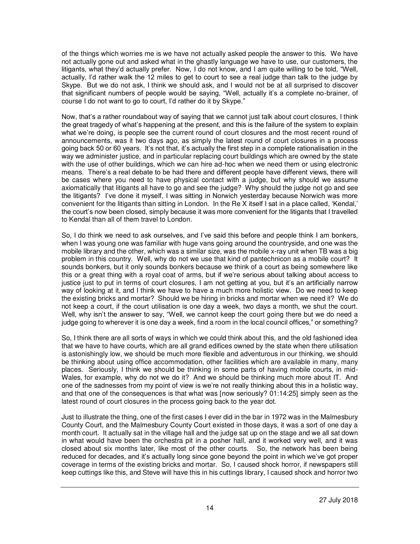of the things which worries me is we have not actually asked people the answer to this. We have not actually gone out and asked what in the ghastly language we have to use, our customers, the litigants, what they'd actually prefer. Now, I do not know, and I am quite willing to be told, "Well, actually, I'd rather walk the 12 miles to get to court to see a real judge than talk to the judge by Skype. But we do not ask, I think we should ask, and I would not be at all surprised to discover that significant numbers of people would be saying, "Well, actually it's a complete no-brainer, of course I do not want to go to court, I'd rather do it by Skype."

Now, that's a rather roundabout way of saying that we cannot just talk about court closures, I think the great tragedy of what's happening at the present, and this is the failure of the system to explain what we're doing, is people see the current round of court closures and the most recent round of announcements, was it two days ago, as simply the latest round of court closures in a process going back 50 or 60 years. It's not that, it's actually the first step in a complete rationalisation in the way we administer justice, and in particular replacing court buildings which are owned by the state with the use of other buildings, which we can hire ad-hoc when we need them or using electronic means. There's a real debate to be had there and different people have different views, there will be cases where you need to have physical contact with a judge, but why should we assume axiomatically that litigants all have to go and see the judge? Why should the judge not go and see the litigants? I've done it myself, I was sitting in Norwich yesterday because Norwich was more convenient for the litigants than sitting in London. In the Re X itself I sat in a place called, 'Kendal,' the court's now been closed, simply because it was more convenient for the litigants that I travelled to Kendal than all of them travel to London.

So, I do think we need to ask ourselves, and I've said this before and people think I am bonkers, when I was young one was familiar with huge vans going around the countryside, and one was the mobile library and the other, which was a similar size, was the mobile x-ray unit when TB was a big problem in this country. Well, why do not we use that kind of pantechnicon as a mobile court? It sounds bonkers, but it only sounds bonkers because we think of a court as being somewhere like this or a great thing with a royal coat of arms, but if we're serious about talking about access to justice just to put in terms of court closures, I am not getting at you, but it's an artificially narrow way of looking at it, and I think we have to have a much more holistic view. Do we need to keep the existing bricks and mortar? Should we be hiring in bricks and mortar when we need it? We do not keep a court, if the court utilisation is one day a week, two days a month, we shut the court. Well, why isn't the answer to say, "Well, we cannot keep the court going there but we do need a judge going to wherever it is one day a week, find a room in the local council offices," or something?

So, I think there are all sorts of ways in which we could think about this, and the old fashioned idea that we have to have courts, which are all grand edifices owned by the state when there utilisation is astonishingly low, we should be much more flexible and adventurous in our thinking, we should be thinking about using office accommodation, other facilities which are available in many, many places. Seriously, I think we should be thinking in some parts of having mobile courts, in mid-Wales, for example, why do not we do it? And we should be thinking much more about IT. And one of the sadnesses from my point of view is we're not really thinking about this in a holistic way, and that one of the consequences is that what was [now seriously? 01:14:25] simply seen as the latest round of court closures in the process going back to the year dot.

Just to illustrate the thing, one of the first cases I ever did in the bar in 1972 was in the Malmesbury County Court, and the Malmesbury County Court existed in those days, it was a sort of one day a month court. It actually sat in the village hall and the judge sat up on the stage and we all sat down in what would have been the orchestra pit in a posher hall, and it worked very well, and it was closed about six months later, like most of the other courts. So, the network has been being reduced for decades, and it's actually long since gone beyond the point in which we've got proper coverage in terms of the existing bricks and mortar. So, I caused shock horror, if newspapers still keep cuttings like this, and Steve will have this in his cuttings library, I caused shock and horror two